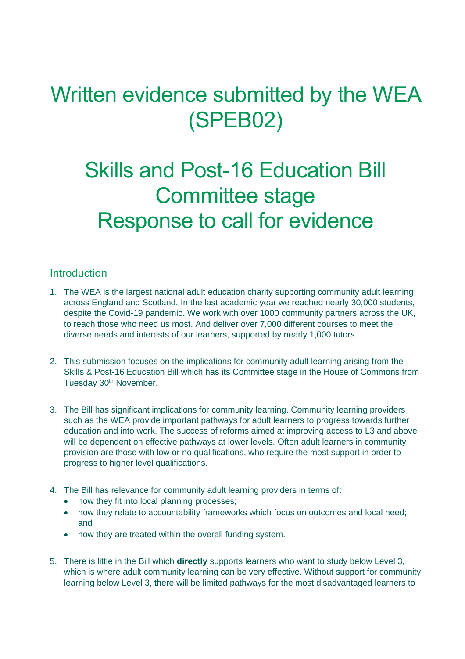# Written evidence submitted by the WEA (SPEB02)

# Skills and Post-16 Education Bill Committee stage Response to call for evidence

## Introduction

- 1. The WEA is the largest national adult education charity supporting community adult learning across England and Scotland. In the last academic year we reached nearly 30,000 students, despite the Covid-19 pandemic. We work with over 1000 community partners across the UK, to reach those who need us most. And deliver over 7,000 different courses to meet the diverse needs and interests of our learners, supported by nearly 1,000 tutors.
- 2. This submission focuses on the implications for community adult learning arising from the Skills & Post-16 Education Bill which has its Committee stage in the House of Commons from Tuesday 30<sup>th</sup> November.
- 3. The Bill has significant implications for community learning. Community learning providers such as the WEA provide important pathways for adult learners to progress towards further education and into work. The success of reforms aimed at improving access to L3 and above will be dependent on effective pathways at lower levels. Often adult learners in community provision are those with low or no qualifications, who require the most support in order to progress to higher level qualifications.
- 4. The Bill has relevance for community adult learning providers in terms of:
	- how they fit into local planning processes;
	- how they relate to accountability frameworks which focus on outcomes and local need; and
	- how they are treated within the overall funding system.
- 5. There is little in the Bill which **directly** supports learners who want to study below Level 3, which is where adult community learning can be very effective. Without support for community learning below Level 3, there will be limited pathways for the most disadvantaged learners to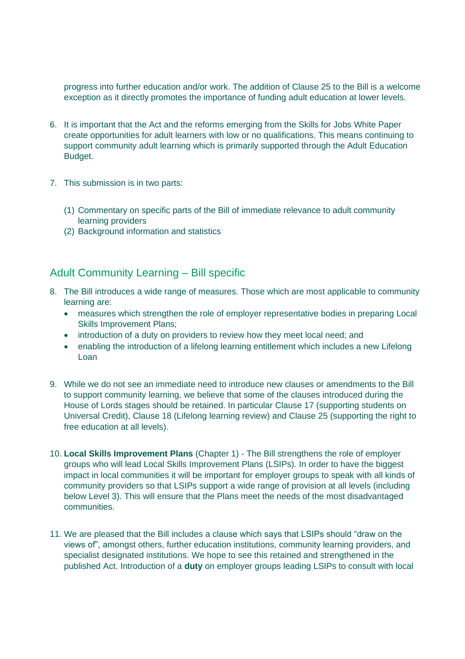progress into further education and/or work. The addition of Clause 25 to the Bill is a welcome exception as it directly promotes the importance of funding adult education at lower levels.

- 6. It is important that the Act and the reforms emerging from the Skills for Jobs White Paper create opportunities for adult learners with low or no qualifications. This means continuing to support community adult learning which is primarily supported through the Adult Education Budget.
- 7. This submission is in two parts:
	- (1) Commentary on specific parts of the Bill of immediate relevance to adult community learning providers
	- (2) Background information and statistics

### Adult Community Learning – Bill specific

- 8. The Bill introduces a wide range of measures. Those which are most applicable to community learning are:
	- measures which strengthen the role of employer representative bodies in preparing Local Skills Improvement Plans;
	- introduction of a duty on providers to review how they meet local need; and
	- enabling the introduction of a lifelong learning entitlement which includes a new Lifelong Loan
- 9. While we do not see an immediate need to introduce new clauses or amendments to the Bill to support community learning, we believe that some of the clauses introduced during the House of Lords stages should be retained. In particular Clause 17 (supporting students on Universal Credit), Clause 18 (Lifelong learning review) and Clause 25 (supporting the right to free education at all levels).
- 10. **Local Skills Improvement Plans** (Chapter 1) The Bill strengthens the role of employer groups who will lead Local Skills Improvement Plans (LSIPs). In order to have the biggest impact in local communities it will be important for employer groups to speak with all kinds of community providers so that LSIPs support a wide range of provision at all levels (including below Level 3). This will ensure that the Plans meet the needs of the most disadvantaged communities.
- 11. We are pleased that the Bill includes a clause which says that LSIPs should "draw on the views of", amongst others, further education institutions, community learning providers, and specialist designated institutions. We hope to see this retained and strengthened in the published Act. Introduction of a **duty** on employer groups leading LSIPs to consult with local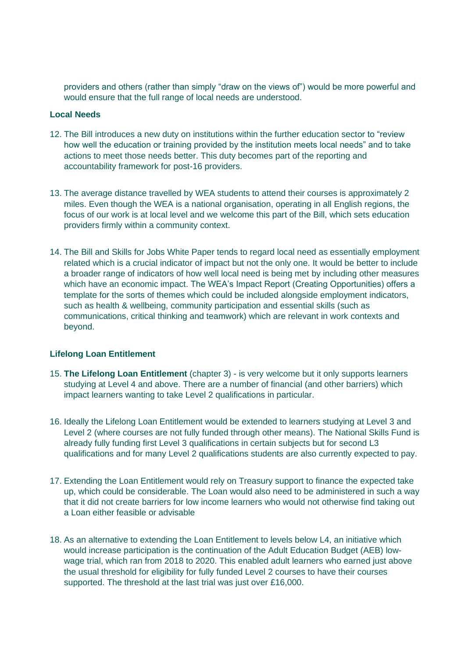providers and others (rather than simply "draw on the views of") would be more powerful and would ensure that the full range of local needs are understood.

#### **Local Needs**

- 12. The Bill introduces a new duty on institutions within the further education sector to "review how well the education or training provided by the institution meets local needs" and to take actions to meet those needs better. This duty becomes part of the reporting and accountability framework for post-16 providers.
- 13. The average distance travelled by WEA students to attend their courses is approximately 2 miles. Even though the WEA is a national organisation, operating in all English regions, the focus of our work is at local level and we welcome this part of the Bill, which sets education providers firmly within a community context.
- 14. The Bill and Skills for Jobs White Paper tends to regard local need as essentially employment related which is a crucial indicator of impact but not the only one. It would be better to include a broader range of indicators of how well local need is being met by including other measures which have an economic impact. The WEA's Impact Report (Creating Opportunities) offers a template for the sorts of themes which could be included alongside employment indicators, such as health & wellbeing, community participation and essential skills (such as communications, critical thinking and teamwork) which are relevant in work contexts and beyond.

### **Lifelong Loan Entitlement**

- 15. **The Lifelong Loan Entitlement** (chapter 3) is very welcome but it only supports learners studying at Level 4 and above. There are a number of financial (and other barriers) which impact learners wanting to take Level 2 qualifications in particular.
- 16. Ideally the Lifelong Loan Entitlement would be extended to learners studying at Level 3 and Level 2 (where courses are not fully funded through other means). The National Skills Fund is already fully funding first Level 3 qualifications in certain subjects but for second L3 qualifications and for many Level 2 qualifications students are also currently expected to pay.
- 17. Extending the Loan Entitlement would rely on Treasury support to finance the expected take up, which could be considerable. The Loan would also need to be administered in such a way that it did not create barriers for low income learners who would not otherwise find taking out a Loan either feasible or advisable
- 18. As an alternative to extending the Loan Entitlement to levels below L4, an initiative which would increase participation is the continuation of the Adult Education Budget (AEB) lowwage trial, which ran from 2018 to 2020. This enabled adult learners who earned just above the usual threshold for eligibility for fully funded Level 2 courses to have their courses supported. The threshold at the last trial was just over £16,000.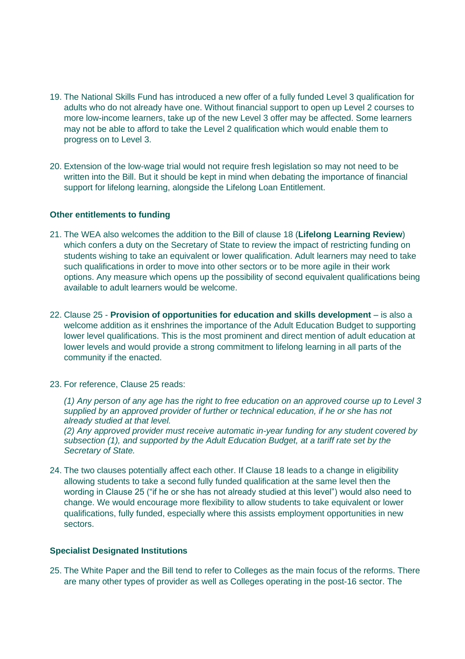- 19. The National Skills Fund has introduced a new offer of a fully funded Level 3 qualification for adults who do not already have one. Without financial support to open up Level 2 courses to more low-income learners, take up of the new Level 3 offer may be affected. Some learners may not be able to afford to take the Level 2 qualification which would enable them to progress on to Level 3.
- 20. Extension of the low-wage trial would not require fresh legislation so may not need to be written into the Bill. But it should be kept in mind when debating the importance of financial support for lifelong learning, alongside the Lifelong Loan Entitlement.

#### **Other entitlements to funding**

- 21. The WEA also welcomes the addition to the Bill of clause 18 (**Lifelong Learning Review**) which confers a duty on the Secretary of State to review the impact of restricting funding on students wishing to take an equivalent or lower qualification. Adult learners may need to take such qualifications in order to move into other sectors or to be more agile in their work options. Any measure which opens up the possibility of second equivalent qualifications being available to adult learners would be welcome.
- 22. Clause 25 **Provision of opportunities for education and skills development** is also a welcome addition as it enshrines the importance of the Adult Education Budget to supporting lower level qualifications. This is the most prominent and direct mention of adult education at lower levels and would provide a strong commitment to lifelong learning in all parts of the community if the enacted.
- 23. For reference, Clause 25 reads:

*(1) Any person of any age has the right to free education on an approved course up to Level 3 supplied by an approved provider of further or technical education, if he or she has not already studied at that level.* 

*(2) Any approved provider must receive automatic in-year funding for any student covered by subsection (1), and supported by the Adult Education Budget, at a tariff rate set by the Secretary of State.*

24. The two clauses potentially affect each other. If Clause 18 leads to a change in eligibility allowing students to take a second fully funded qualification at the same level then the wording in Clause 25 ("if he or she has not already studied at this level") would also need to change. We would encourage more flexibility to allow students to take equivalent or lower qualifications, fully funded, especially where this assists employment opportunities in new sectors.

#### **Specialist Designated Institutions**

25. The White Paper and the Bill tend to refer to Colleges as the main focus of the reforms. There are many other types of provider as well as Colleges operating in the post-16 sector. The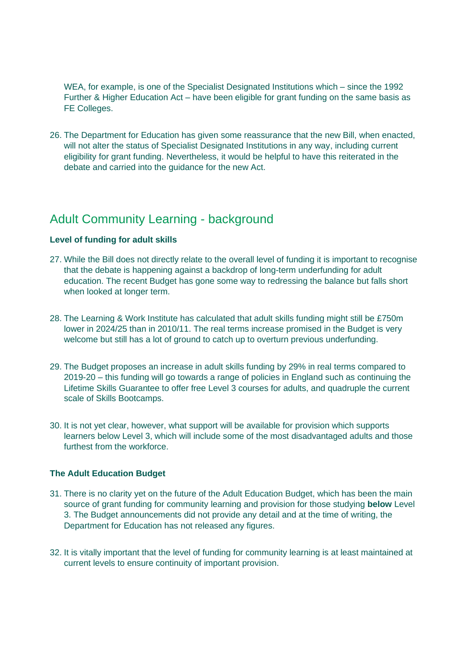WEA, for example, is one of the Specialist Designated Institutions which – since the 1992 Further & Higher Education Act – have been eligible for grant funding on the same basis as FE Colleges.

26. The Department for Education has given some reassurance that the new Bill, when enacted, will not alter the status of Specialist Designated Institutions in any way, including current eligibility for grant funding. Nevertheless, it would be helpful to have this reiterated in the debate and carried into the guidance for the new Act.

# Adult Community Learning - background

#### **Level of funding for adult skills**

- 27. While the Bill does not directly relate to the overall level of funding it is important to recognise that the debate is happening against a backdrop of long-term underfunding for adult education. The recent Budget has gone some way to redressing the balance but falls short when looked at longer term.
- 28. The Learning & Work Institute has calculated that adult skills funding might still be £750m lower in 2024/25 than in 2010/11. The real terms increase promised in the Budget is very welcome but still has a lot of ground to catch up to overturn previous underfunding.
- 29. The Budget proposes an increase in adult skills funding by 29% in real terms compared to 2019-20 – this funding will go towards a range of policies in England such as continuing the Lifetime Skills Guarantee to offer free Level 3 courses for adults, and quadruple the current scale of Skills Bootcamps.
- 30. It is not yet clear, however, what support will be available for provision which supports learners below Level 3, which will include some of the most disadvantaged adults and those furthest from the workforce.

#### **The Adult Education Budget**

- 31. There is no clarity yet on the future of the Adult Education Budget, which has been the main source of grant funding for community learning and provision for those studying **below** Level 3. The Budget announcements did not provide any detail and at the time of writing, the Department for Education has not released any figures.
- 32. It is vitally important that the level of funding for community learning is at least maintained at current levels to ensure continuity of important provision.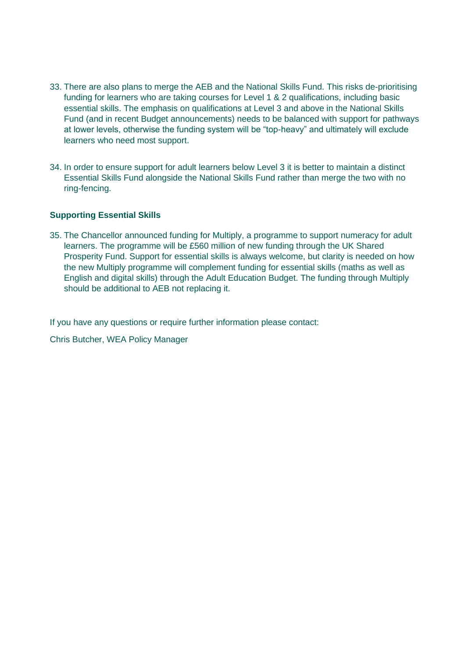- 33. There are also plans to merge the AEB and the National Skills Fund. This risks de-prioritising funding for learners who are taking courses for Level 1 & 2 qualifications, including basic essential skills. The emphasis on qualifications at Level 3 and above in the National Skills Fund (and in recent Budget announcements) needs to be balanced with support for pathways at lower levels, otherwise the funding system will be "top-heavy" and ultimately will exclude learners who need most support.
- 34. In order to ensure support for adult learners below Level 3 it is better to maintain a distinct Essential Skills Fund alongside the National Skills Fund rather than merge the two with no ring-fencing.

#### **Supporting Essential Skills**

35. The Chancellor announced funding for Multiply, a programme to support numeracy for adult learners. The programme will be £560 million of new funding through the UK Shared Prosperity Fund. Support for essential skills is always welcome, but clarity is needed on how the new Multiply programme will complement funding for essential skills (maths as well as English and digital skills) through the Adult Education Budget. The funding through Multiply should be additional to AEB not replacing it.

If you have any questions or require further information please contact:

Chris Butcher, WEA Policy Manager